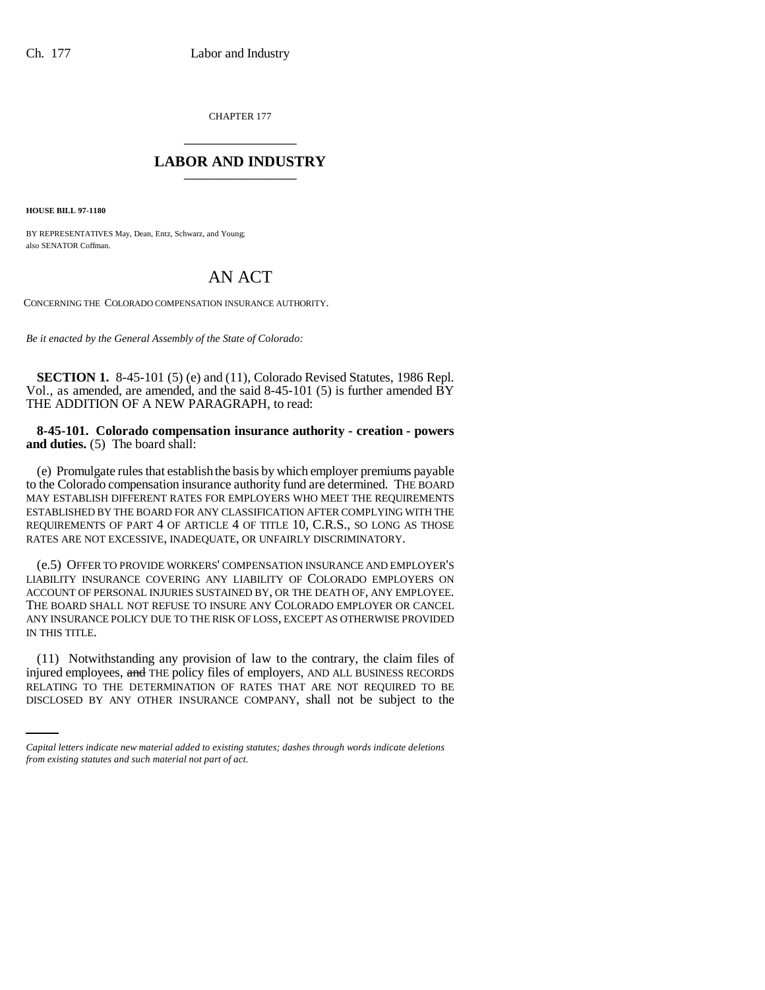CHAPTER 177 \_\_\_\_\_\_\_\_\_\_\_\_\_\_\_

## **LABOR AND INDUSTRY** \_\_\_\_\_\_\_\_\_\_\_\_\_\_\_

**HOUSE BILL 97-1180**

BY REPRESENTATIVES May, Dean, Entz, Schwarz, and Young; also SENATOR Coffman.

## AN ACT

CONCERNING THE COLORADO COMPENSATION INSURANCE AUTHORITY.

*Be it enacted by the General Assembly of the State of Colorado:*

**SECTION 1.** 8-45-101 (5) (e) and (11), Colorado Revised Statutes, 1986 Repl. Vol., as amended, are amended, and the said 8-45-101 (5) is further amended BY THE ADDITION OF A NEW PARAGRAPH, to read:

**8-45-101. Colorado compensation insurance authority - creation - powers and duties.** (5) The board shall:

(e) Promulgate rules that establish the basis by which employer premiums payable to the Colorado compensation insurance authority fund are determined. THE BOARD MAY ESTABLISH DIFFERENT RATES FOR EMPLOYERS WHO MEET THE REQUIREMENTS ESTABLISHED BY THE BOARD FOR ANY CLASSIFICATION AFTER COMPLYING WITH THE REQUIREMENTS OF PART 4 OF ARTICLE 4 OF TITLE 10, C.R.S., SO LONG AS THOSE RATES ARE NOT EXCESSIVE, INADEQUATE, OR UNFAIRLY DISCRIMINATORY.

(e.5) OFFER TO PROVIDE WORKERS' COMPENSATION INSURANCE AND EMPLOYER'S LIABILITY INSURANCE COVERING ANY LIABILITY OF COLORADO EMPLOYERS ON ACCOUNT OF PERSONAL INJURIES SUSTAINED BY, OR THE DEATH OF, ANY EMPLOYEE. THE BOARD SHALL NOT REFUSE TO INSURE ANY COLORADO EMPLOYER OR CANCEL ANY INSURANCE POLICY DUE TO THE RISK OF LOSS, EXCEPT AS OTHERWISE PROVIDED IN THIS TITLE.

injured employees,  $\frac{and}{The}$  THE policy files of employers, AND ALL BUSINESS RECORDS (11) Notwithstanding any provision of law to the contrary, the claim files of RELATING TO THE DETERMINATION OF RATES THAT ARE NOT REQUIRED TO BE DISCLOSED BY ANY OTHER INSURANCE COMPANY, shall not be subject to the

*Capital letters indicate new material added to existing statutes; dashes through words indicate deletions from existing statutes and such material not part of act.*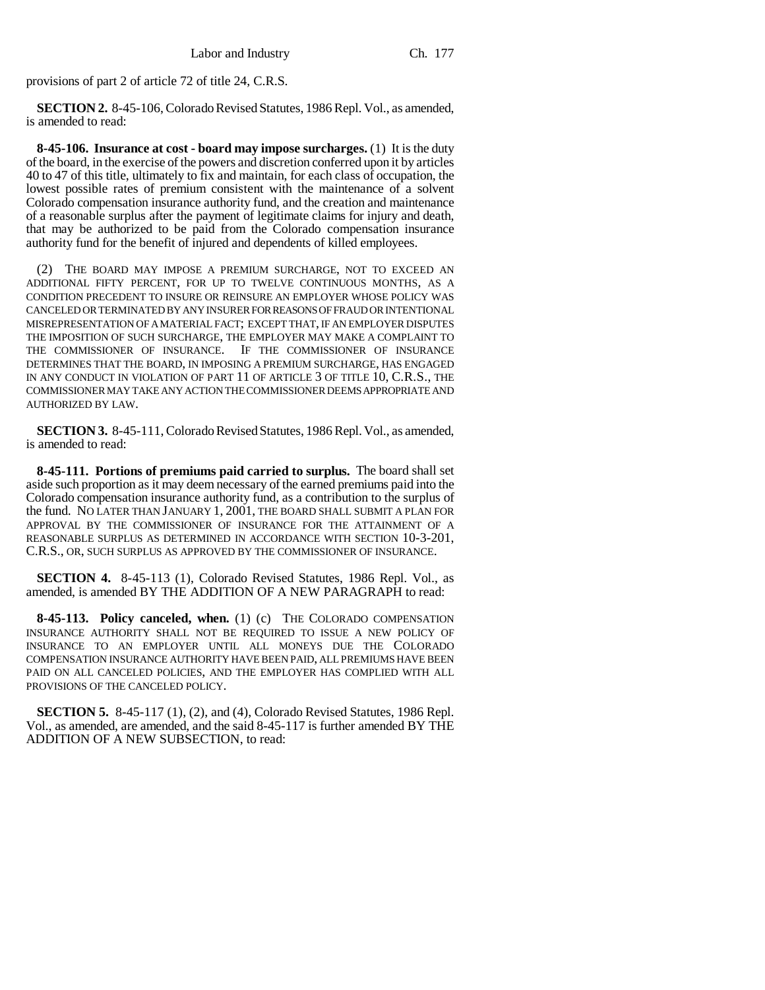provisions of part 2 of article 72 of title 24, C.R.S.

**SECTION 2.** 8-45-106, Colorado Revised Statutes, 1986 Repl. Vol., as amended, is amended to read:

**8-45-106. Insurance at cost - board may impose surcharges.** (1) It is the duty of the board, in the exercise of the powers and discretion conferred upon it by articles 40 to 47 of this title, ultimately to fix and maintain, for each class of occupation, the lowest possible rates of premium consistent with the maintenance of a solvent Colorado compensation insurance authority fund, and the creation and maintenance of a reasonable surplus after the payment of legitimate claims for injury and death, that may be authorized to be paid from the Colorado compensation insurance authority fund for the benefit of injured and dependents of killed employees.

(2) THE BOARD MAY IMPOSE A PREMIUM SURCHARGE, NOT TO EXCEED AN ADDITIONAL FIFTY PERCENT, FOR UP TO TWELVE CONTINUOUS MONTHS, AS A CONDITION PRECEDENT TO INSURE OR REINSURE AN EMPLOYER WHOSE POLICY WAS CANCELED OR TERMINATED BY ANY INSURER FOR REASONS OF FRAUD OR INTENTIONAL MISREPRESENTATION OF A MATERIAL FACT; EXCEPT THAT, IF AN EMPLOYER DISPUTES THE IMPOSITION OF SUCH SURCHARGE, THE EMPLOYER MAY MAKE A COMPLAINT TO THE COMMISSIONER OF INSURANCE. IF THE COMMISSIONER OF INSURANCE DETERMINES THAT THE BOARD, IN IMPOSING A PREMIUM SURCHARGE, HAS ENGAGED IN ANY CONDUCT IN VIOLATION OF PART 11 OF ARTICLE 3 OF TITLE 10, C.R.S., THE COMMISSIONER MAY TAKE ANY ACTION THE COMMISSIONER DEEMS APPROPRIATE AND AUTHORIZED BY LAW.

**SECTION 3.** 8-45-111, Colorado Revised Statutes, 1986 Repl. Vol., as amended, is amended to read:

**8-45-111. Portions of premiums paid carried to surplus.** The board shall set aside such proportion as it may deem necessary of the earned premiums paid into the Colorado compensation insurance authority fund, as a contribution to the surplus of the fund. NO LATER THAN JANUARY 1, 2001, THE BOARD SHALL SUBMIT A PLAN FOR APPROVAL BY THE COMMISSIONER OF INSURANCE FOR THE ATTAINMENT OF A REASONABLE SURPLUS AS DETERMINED IN ACCORDANCE WITH SECTION 10-3-201, C.R.S., OR, SUCH SURPLUS AS APPROVED BY THE COMMISSIONER OF INSURANCE.

**SECTION 4.** 8-45-113 (1), Colorado Revised Statutes, 1986 Repl. Vol., as amended, is amended BY THE ADDITION OF A NEW PARAGRAPH to read:

**8-45-113. Policy canceled, when.** (1) (c) THE COLORADO COMPENSATION INSURANCE AUTHORITY SHALL NOT BE REQUIRED TO ISSUE A NEW POLICY OF INSURANCE TO AN EMPLOYER UNTIL ALL MONEYS DUE THE COLORADO COMPENSATION INSURANCE AUTHORITY HAVE BEEN PAID, ALL PREMIUMS HAVE BEEN PAID ON ALL CANCELED POLICIES, AND THE EMPLOYER HAS COMPLIED WITH ALL PROVISIONS OF THE CANCELED POLICY.

**SECTION 5.** 8-45-117 (1), (2), and (4), Colorado Revised Statutes, 1986 Repl. Vol., as amended, are amended, and the said 8-45-117 is further amended BY THE ADDITION OF A NEW SUBSECTION, to read: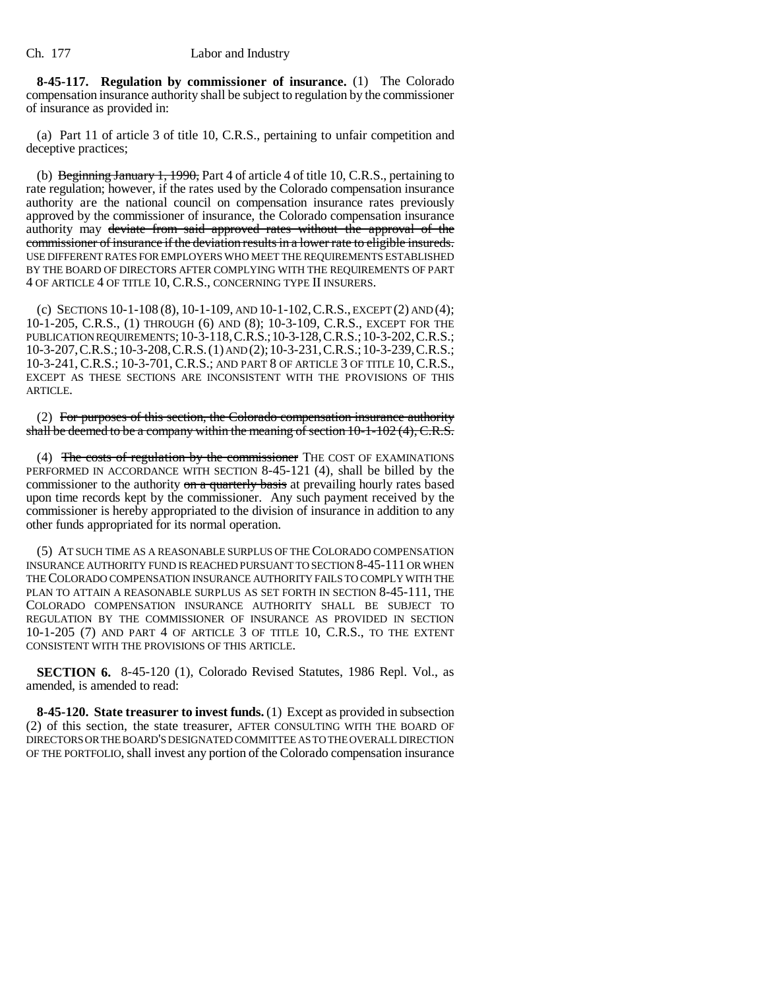**8-45-117. Regulation by commissioner of insurance.** (1) The Colorado compensation insurance authority shall be subject to regulation by the commissioner of insurance as provided in:

(a) Part 11 of article 3 of title 10, C.R.S., pertaining to unfair competition and deceptive practices;

(b) Beginning January 1, 1990, Part 4 of article 4 of title 10, C.R.S., pertaining to rate regulation; however, if the rates used by the Colorado compensation insurance authority are the national council on compensation insurance rates previously approved by the commissioner of insurance, the Colorado compensation insurance authority may deviate from said approved rates without the approval of the commissioner of insurance if the deviation results in a lower rate to eligible insureds. USE DIFFERENT RATES FOR EMPLOYERS WHO MEET THE REQUIREMENTS ESTABLISHED BY THE BOARD OF DIRECTORS AFTER COMPLYING WITH THE REQUIREMENTS OF PART 4 OF ARTICLE 4 OF TITLE 10, C.R.S., CONCERNING TYPE II INSURERS.

(c) SECTIONS 10-1-108 (8), 10-1-109, AND 10-1-102,C.R.S., EXCEPT (2) AND (4); 10-1-205, C.R.S., (1) THROUGH (6) AND (8); 10-3-109, C.R.S., EXCEPT FOR THE PUBLICATION REQUIREMENTS;10-3-118,C.R.S.;10-3-128,C.R.S.;10-3-202,C.R.S.; 10-3-207,C.R.S.;10-3-208,C.R.S.(1) AND (2);10-3-231,C.R.S.;10-3-239,C.R.S.; 10-3-241, C.R.S.; 10-3-701, C.R.S.; AND PART 8 OF ARTICLE 3 OF TITLE 10, C.R.S., EXCEPT AS THESE SECTIONS ARE INCONSISTENT WITH THE PROVISIONS OF THIS ARTICLE.

(2) For purposes of this section, the Colorado compensation insurance authority shall be deemed to be a company within the meaning of section  $10-1-102(4)$ , C.R.S.

(4) The costs of regulation by the commissioner THE COST OF EXAMINATIONS PERFORMED IN ACCORDANCE WITH SECTION 8-45-121 (4), shall be billed by the commissioner to the authority on a quarterly basis at prevailing hourly rates based upon time records kept by the commissioner. Any such payment received by the commissioner is hereby appropriated to the division of insurance in addition to any other funds appropriated for its normal operation.

(5) AT SUCH TIME AS A REASONABLE SURPLUS OF THE COLORADO COMPENSATION INSURANCE AUTHORITY FUND IS REACHED PURSUANT TO SECTION 8-45-111 OR WHEN THE COLORADO COMPENSATION INSURANCE AUTHORITY FAILS TO COMPLY WITH THE PLAN TO ATTAIN A REASONABLE SURPLUS AS SET FORTH IN SECTION 8-45-111, THE COLORADO COMPENSATION INSURANCE AUTHORITY SHALL BE SUBJECT TO REGULATION BY THE COMMISSIONER OF INSURANCE AS PROVIDED IN SECTION 10-1-205 (7) AND PART 4 OF ARTICLE 3 OF TITLE 10, C.R.S., TO THE EXTENT CONSISTENT WITH THE PROVISIONS OF THIS ARTICLE.

**SECTION 6.** 8-45-120 (1), Colorado Revised Statutes, 1986 Repl. Vol., as amended, is amended to read:

**8-45-120. State treasurer to invest funds.** (1) Except as provided in subsection (2) of this section, the state treasurer, AFTER CONSULTING WITH THE BOARD OF DIRECTORS OR THE BOARD'S DESIGNATED COMMITTEE AS TO THE OVERALL DIRECTION OF THE PORTFOLIO,shall invest any portion of the Colorado compensation insurance